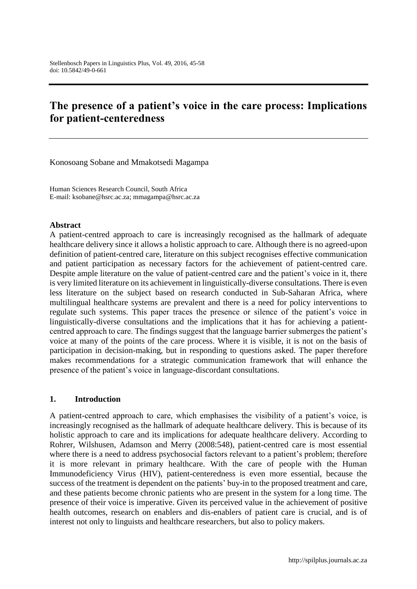# **The presence of a patient's voice in the care process: Implications for patient-centeredness**

Konosoang Sobane and Mmakotsedi Magampa

Human Sciences Research Council, South Africa E-mail: [ksobane@hsrc.ac.za;](mailto:ksobane@hsrc.ac.za) [mmagampa@hsrc.ac.za](mailto:mmagampa@hsrc.ac.za)

#### **Abstract**

A patient-centred approach to care is increasingly recognised as the hallmark of adequate healthcare delivery since it allows a holistic approach to care. Although there is no agreed-upon definition of patient-centred care, literature on this subject recognises effective communication and patient participation as necessary factors for the achievement of patient-centred care. Despite ample literature on the value of patient-centred care and the patient's voice in it, there is very limited literature on its achievement in linguistically-diverse consultations. There is even less literature on the subject based on research conducted in Sub-Saharan Africa, where multilingual healthcare systems are prevalent and there is a need for policy interventions to regulate such systems. This paper traces the presence or silence of the patient's voice in linguistically-diverse consultations and the implications that it has for achieving a patientcentred approach to care. The findings suggest that the language barrier submerges the patient's voice at many of the points of the care process. Where it is visible, it is not on the basis of participation in decision-making, but in responding to questions asked. The paper therefore makes recommendations for a strategic communication framework that will enhance the presence of the patient's voice in language-discordant consultations.

#### **1. Introduction**

A patient-centred approach to care, which emphasises the visibility of a patient's voice, is increasingly recognised as the hallmark of adequate healthcare delivery. This is because of its holistic approach to care and its implications for adequate healthcare delivery. According to Rohrer, Wilshusen, Adamson and Merry (2008:548), patient-centred care is most essential where there is a need to address psychosocial factors relevant to a patient's problem; therefore it is more relevant in primary healthcare. With the care of people with the Human Immunodeficiency Virus (HIV), patient-centeredness is even more essential, because the success of the treatment is dependent on the patients' buy-in to the proposed treatment and care, and these patients become chronic patients who are present in the system for a long time. The presence of their voice is imperative. Given its perceived value in the achievement of positive health outcomes, research on enablers and dis-enablers of patient care is crucial, and is of interest not only to linguists and healthcare researchers, but also to policy makers.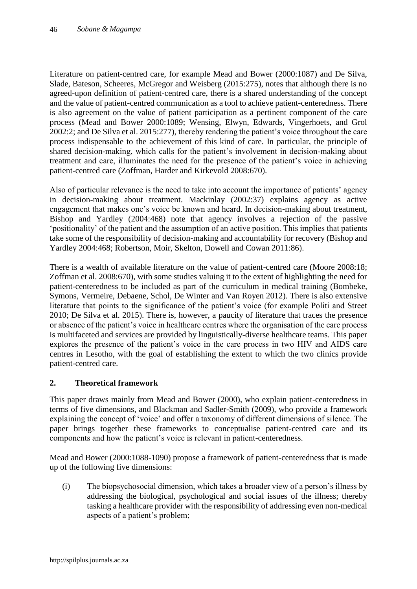Literature on patient-centred care, for example Mead and Bower (2000:1087) and De Silva, Slade, Bateson, Scheeres, McGregor and Weisberg (2015:275), notes that although there is no agreed-upon definition of patient-centred care, there is a shared understanding of the concept and the value of patient-centred communication as a tool to achieve patient-centeredness. There is also agreement on the value of patient participation as a pertinent component of the care process (Mead and Bower 2000:1089; Wensing, Elwyn, Edwards, Vingerhoets, and Grol 2002:2; and De Silva et al. 2015:277), thereby rendering the patient's voice throughout the care process indispensable to the achievement of this kind of care. In particular, the principle of shared decision-making, which calls for the patient's involvement in decision-making about treatment and care, illuminates the need for the presence of the patient's voice in achieving patient-centred care (Zoffman, Harder and Kirkevold 2008:670).

Also of particular relevance is the need to take into account the importance of patients' agency in decision-making about treatment. Mackinlay (2002:37) explains agency as active engagement that makes one's voice be known and heard. In decision-making about treatment, Bishop and Yardley (2004:468) note that agency involves a rejection of the passive 'positionality' of the patient and the assumption of an active position. This implies that patients take some of the responsibility of decision-making and accountability for recovery (Bishop and Yardley 2004:468; Robertson, Moir, Skelton, Dowell and Cowan 2011:86).

There is a wealth of available literature on the value of patient-centred care (Moore 2008:18; Zoffman et al. 2008:670), with some studies valuing it to the extent of highlighting the need for patient-centeredness to be included as part of the curriculum in medical training (Bombeke, Symons, Vermeire, Debaene, Schol, De Winter and Van Royen 2012). There is also extensive literature that points to the significance of the patient's voice (for example Politi and Street 2010; De Silva et al. 2015). There is, however, a paucity of literature that traces the presence or absence of the patient's voice in healthcare centres where the organisation of the care process is multifaceted and services are provided by linguistically-diverse healthcare teams. This paper explores the presence of the patient's voice in the care process in two HIV and AIDS care centres in Lesotho, with the goal of establishing the extent to which the two clinics provide patient-centred care.

# **2. Theoretical framework**

This paper draws mainly from Mead and Bower (2000), who explain patient-centeredness in terms of five dimensions, and Blackman and Sadler-Smith (2009), who provide a framework explaining the concept of 'voice' and offer a taxonomy of different dimensions of silence. The paper brings together these frameworks to conceptualise patient-centred care and its components and how the patient's voice is relevant in patient-centeredness.

Mead and Bower (2000:1088-1090) propose a framework of patient-centeredness that is made up of the following five dimensions:

(i) The biopsychosocial dimension, which takes a broader view of a person's illness by addressing the biological, psychological and social issues of the illness; thereby tasking a healthcare provider with the responsibility of addressing even non-medical aspects of a patient's problem;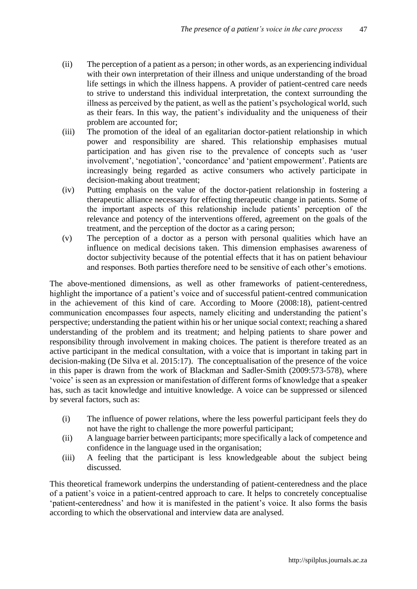- (ii) The perception of a patient as a person; in other words, as an experiencing individual with their own interpretation of their illness and unique understanding of the broad life settings in which the illness happens. A provider of patient-centred care needs to strive to understand this individual interpretation, the context surrounding the illness as perceived by the patient, as well as the patient's psychological world, such as their fears. In this way, the patient's individuality and the uniqueness of their problem are accounted for;
- (iii) The promotion of the ideal of an egalitarian doctor-patient relationship in which power and responsibility are shared. This relationship emphasises mutual participation and has given rise to the prevalence of concepts such as 'user involvement', 'negotiation', 'concordance' and 'patient empowerment'. Patients are increasingly being regarded as active consumers who actively participate in decision-making about treatment;
- (iv) Putting emphasis on the value of the doctor-patient relationship in fostering a therapeutic alliance necessary for effecting therapeutic change in patients. Some of the important aspects of this relationship include patients' perception of the relevance and potency of the interventions offered, agreement on the goals of the treatment, and the perception of the doctor as a caring person;
- (v) The perception of a doctor as a person with personal qualities which have an influence on medical decisions taken. This dimension emphasises awareness of doctor subjectivity because of the potential effects that it has on patient behaviour and responses. Both parties therefore need to be sensitive of each other's emotions.

The above-mentioned dimensions, as well as other frameworks of patient-centeredness, highlight the importance of a patient's voice and of successful patient-centred communication in the achievement of this kind of care. According to Moore (2008:18), patient-centred communication encompasses four aspects, namely eliciting and understanding the patient's perspective; understanding the patient within his or her unique social context; reaching a shared understanding of the problem and its treatment; and helping patients to share power and responsibility through involvement in making choices. The patient is therefore treated as an active participant in the medical consultation, with a voice that is important in taking part in decision-making (De Silva et al. 2015:17). The conceptualisation of the presence of the voice in this paper is drawn from the work of Blackman and Sadler-Smith (2009:573-578), where 'voice' is seen as an expression or manifestation of different forms of knowledge that a speaker has, such as tacit knowledge and intuitive knowledge. A voice can be suppressed or silenced by several factors, such as:

- (i) The influence of power relations, where the less powerful participant feels they do not have the right to challenge the more powerful participant;
- (ii) A language barrier between participants; more specifically a lack of competence and confidence in the language used in the organisation;
- (iii) A feeling that the participant is less knowledgeable about the subject being discussed.

This theoretical framework underpins the understanding of patient-centeredness and the place of a patient's voice in a patient-centred approach to care. It helps to concretely conceptualise 'patient-centeredness' and how it is manifested in the patient's voice. It also forms the basis according to which the observational and interview data are analysed.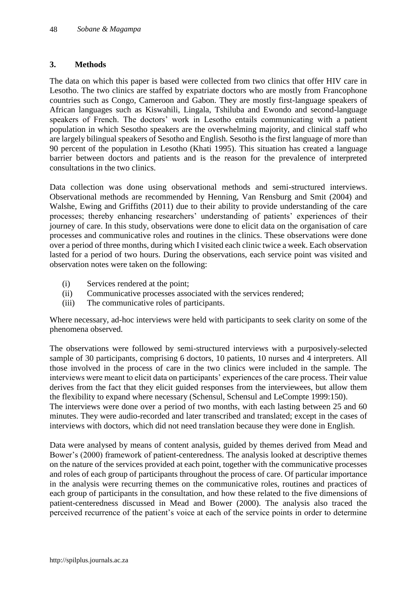## **3. Methods**

The data on which this paper is based were collected from two clinics that offer HIV care in Lesotho. The two clinics are staffed by expatriate doctors who are mostly from Francophone countries such as Congo, Cameroon and Gabon. They are mostly first-language speakers of African languages such as Kiswahili, Lingala, Tshiluba and Ewondo and second-language speakers of French. The doctors' work in Lesotho entails communicating with a patient population in which Sesotho speakers are the overwhelming majority, and clinical staff who are largely bilingual speakers of Sesotho and English. Sesotho is the first language of more than 90 percent of the population in Lesotho (Khati 1995). This situation has created a language barrier between doctors and patients and is the reason for the prevalence of interpreted consultations in the two clinics.

Data collection was done using observational methods and semi-structured interviews. Observational methods are recommended by Henning, Van Rensburg and Smit (2004) and Walshe, Ewing and Griffiths (2011) due to their ability to provide understanding of the care processes; thereby enhancing researchers' understanding of patients' experiences of their journey of care. In this study, observations were done to elicit data on the organisation of care processes and communicative roles and routines in the clinics. These observations were done over a period of three months, during which I visited each clinic twice a week. Each observation lasted for a period of two hours. During the observations, each service point was visited and observation notes were taken on the following:

- (i) Services rendered at the point;
- (ii) Communicative processes associated with the services rendered;
- (iii) The communicative roles of participants.

Where necessary, ad-hoc interviews were held with participants to seek clarity on some of the phenomena observed.

The observations were followed by semi-structured interviews with a purposively-selected sample of 30 participants, comprising 6 doctors, 10 patients, 10 nurses and 4 interpreters. All those involved in the process of care in the two clinics were included in the sample. The interviews were meant to elicit data on participants' experiences of the care process. Their value derives from the fact that they elicit guided responses from the interviewees, but allow them the flexibility to expand where necessary (Schensul, Schensul and LeCompte 1999:150). The interviews were done over a period of two months, with each lasting between 25 and 60 minutes. They were audio-recorded and later transcribed and translated; except in the cases of interviews with doctors, which did not need translation because they were done in English.

Data were analysed by means of content analysis, guided by themes derived from Mead and Bower's (2000) framework of patient-centeredness. The analysis looked at descriptive themes on the nature of the services provided at each point, together with the communicative processes and roles of each group of participants throughout the process of care. Of particular importance in the analysis were recurring themes on the communicative roles, routines and practices of each group of participants in the consultation, and how these related to the five dimensions of patient-centeredness discussed in Mead and Bower (2000). The analysis also traced the perceived recurrence of the patient's voice at each of the service points in order to determine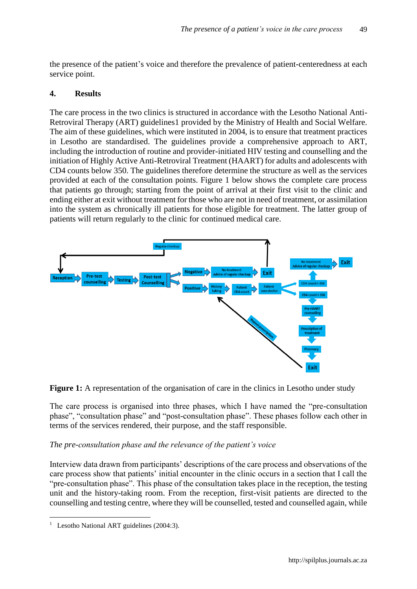the presence of the patient's voice and therefore the prevalence of patient-centeredness at each service point.

#### **4. Results**

The care process in the two clinics is structured in accordance with the Lesotho National Anti-Retroviral Therapy (ART) guidelines1 provided by the Ministry of Health and Social Welfare. The aim of these guidelines, which were instituted in 2004, is to ensure that treatment practices in Lesotho are standardised. The guidelines provide a comprehensive approach to ART, including the introduction of routine and provider-initiated HIV testing and counselling and the initiation of Highly Active Anti-Retroviral Treatment (HAART) for adults and adolescents with CD4 counts below 350. The guidelines therefore determine the structure as well as the services provided at each of the consultation points. Figure 1 below shows the complete care process that patients go through; starting from the point of arrival at their first visit to the clinic and ending either at exit without treatment for those who are not in need of treatment, or assimilation into the system as chronically ill patients for those eligible for treatment. The latter group of patients will return regularly to the clinic for continued medical care.



**Figure 1:** A representation of the organisation of care in the clinics in Lesotho under study

The care process is organised into three phases, which I have named the "pre-consultation phase", "consultation phase" and "post-consultation phase". These phases follow each other in terms of the services rendered, their purpose, and the staff responsible.

#### *The pre-consultation phase and the relevance of the patient's voice*

Interview data drawn from participants' descriptions of the care process and observations of the care process show that patients' initial encounter in the clinic occurs in a section that I call the "pre-consultation phase". This phase of the consultation takes place in the reception, the testing unit and the history-taking room. From the reception, first-visit patients are directed to the counselling and testing centre, where they will be counselled, tested and counselled again, while

 $\overline{a}$ 

<sup>&</sup>lt;sup>1</sup> Lesotho National ART guidelines (2004:3).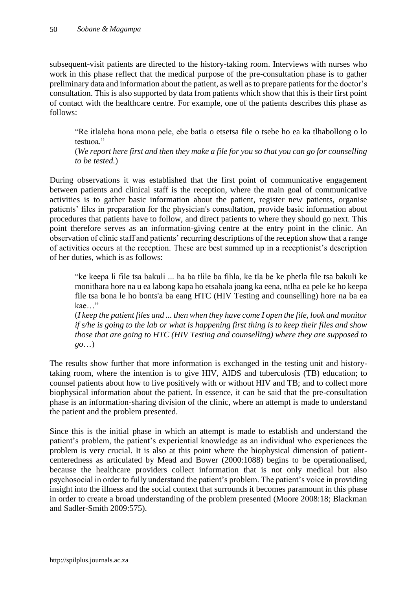subsequent-visit patients are directed to the history-taking room. Interviews with nurses who work in this phase reflect that the medical purpose of the pre-consultation phase is to gather preliminary data and information about the patient, as well as to prepare patients for the doctor's consultation. This is also supported by data from patients which show that this is their first point of contact with the healthcare centre. For example, one of the patients describes this phase as follows:

"Re itlaleha hona mona pele, ebe batla o etsetsa file o tsebe ho ea ka tlhabollong o lo testuoa."

(*We report here first and then they make a file for you so that you can go for counselling to be tested.*)

During observations it was established that the first point of communicative engagement between patients and clinical staff is the reception, where the main goal of communicative activities is to gather basic information about the patient, register new patients, organise patients' files in preparation for the physician's consultation, provide basic information about procedures that patients have to follow, and direct patients to where they should go next. This point therefore serves as an information-giving centre at the entry point in the clinic. An observation of clinic staff and patients' recurring descriptions of the reception show that a range of activities occurs at the reception. These are best summed up in a receptionist's description of her duties, which is as follows:

"ke keepa li file tsa bakuli ... ha ba tlile ba fihla, ke tla be ke phetla file tsa bakuli ke monithara hore na u ea labong kapa ho etsahala joang ka eena, ntlha ea pele ke ho keepa file tsa bona le ho bonts'a ba eang HTC (HIV Testing and counselling) hore na ba ea kae…"

(*I keep the patient files and ... then when they have come I open the file, look and monitor if s/he is going to the lab or what is happening first thing is to keep their files and show those that are going to HTC (HIV Testing and counselling) where they are supposed to go*…)

The results show further that more information is exchanged in the testing unit and historytaking room, where the intention is to give HIV, AIDS and tuberculosis (TB) education; to counsel patients about how to live positively with or without HIV and TB; and to collect more biophysical information about the patient. In essence, it can be said that the pre-consultation phase is an information-sharing division of the clinic, where an attempt is made to understand the patient and the problem presented.

Since this is the initial phase in which an attempt is made to establish and understand the patient's problem, the patient's experiential knowledge as an individual who experiences the problem is very crucial. It is also at this point where the biophysical dimension of patientcenteredness as articulated by Mead and Bower (2000:1088) begins to be operationalised, because the healthcare providers collect information that is not only medical but also psychosocial in order to fully understand the patient's problem. The patient's voice in providing insight into the illness and the social context that surrounds it becomes paramount in this phase in order to create a broad understanding of the problem presented (Moore 2008:18; Blackman and Sadler-Smith 2009:575).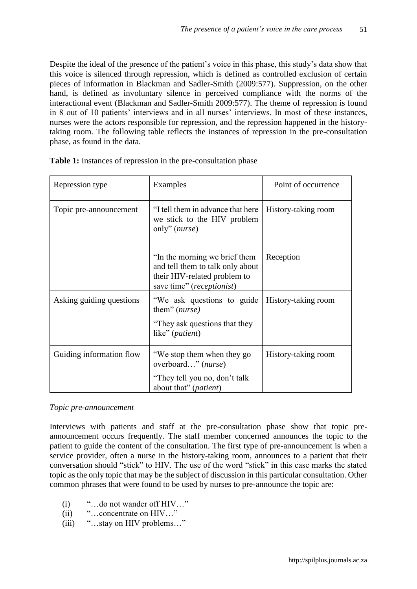Despite the ideal of the presence of the patient's voice in this phase, this study's data show that this voice is silenced through repression, which is defined as controlled exclusion of certain pieces of information in Blackman and Sadler-Smith (2009:577). Suppression, on the other hand, is defined as involuntary silence in perceived compliance with the norms of the interactional event (Blackman and Sadler-Smith 2009:577). The theme of repression is found in 8 out of 10 patients' interviews and in all nurses' interviews. In most of these instances, nurses were the actors responsible for repression, and the repression happened in the historytaking room. The following table reflects the instances of repression in the pre-consultation phase, as found in the data.

| Repression type          | Examples                                                                                                                                | Point of occurrence |
|--------------------------|-----------------------------------------------------------------------------------------------------------------------------------------|---------------------|
| Topic pre-announcement   | "I tell them in advance that here<br>we stick to the HIV problem<br>only" $(nurse)$                                                     | History-taking room |
|                          | "In the morning we brief them<br>and tell them to talk only about<br>their HIV-related problem to<br>save time" ( <i>receptionist</i> ) | Reception           |
| Asking guiding questions | "We ask questions to guide<br>them" (nurse)<br>"They ask questions that they"<br>like" ( <i>patient</i> )                               | History-taking room |
| Guiding information flow | "We stop them when they go<br>overboard" (nurse)<br>"They tell you no, don't talk<br>about that" ( <i>patient</i> )                     | History-taking room |

**Table 1:** Instances of repression in the pre-consultation phase

#### *Topic pre-announcement*

Interviews with patients and staff at the pre-consultation phase show that topic preannouncement occurs frequently. The staff member concerned announces the topic to the patient to guide the content of the consultation. The first type of pre-announcement is when a service provider, often a nurse in the history-taking room, announces to a patient that their conversation should "stick" to HIV. The use of the word "stick" in this case marks the stated topic as the only topic that may be the subject of discussion in this particular consultation. Other common phrases that were found to be used by nurses to pre-announce the topic are:

- (i) "…do not wander off HIV…"
- (ii) "…concentrate on HIV…"
- (iii) "…stay on HIV problems…"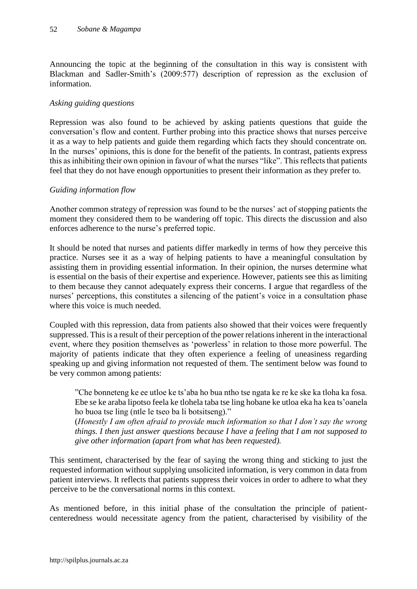Announcing the topic at the beginning of the consultation in this way is consistent with Blackman and Sadler-Smith's (2009:577) description of repression as the exclusion of information.

## *Asking guiding questions*

Repression was also found to be achieved by asking patients questions that guide the conversation's flow and content. Further probing into this practice shows that nurses perceive it as a way to help patients and guide them regarding which facts they should concentrate on. In the nurses' opinions, this is done for the benefit of the patients. In contrast, patients express this as inhibiting their own opinion in favour of what the nurses "like". This reflects that patients feel that they do not have enough opportunities to present their information as they prefer to.

## *Guiding information flow*

Another common strategy of repression was found to be the nurses' act of stopping patients the moment they considered them to be wandering off topic. This directs the discussion and also enforces adherence to the nurse's preferred topic.

It should be noted that nurses and patients differ markedly in terms of how they perceive this practice. Nurses see it as a way of helping patients to have a meaningful consultation by assisting them in providing essential information. In their opinion, the nurses determine what is essential on the basis of their expertise and experience. However, patients see this as limiting to them because they cannot adequately express their concerns. I argue that regardless of the nurses' perceptions, this constitutes a silencing of the patient's voice in a consultation phase where this voice is much needed.

Coupled with this repression, data from patients also showed that their voices were frequently suppressed. This is a result of their perception of the power relations inherent in the interactional event, where they position themselves as 'powerless' in relation to those more powerful. The majority of patients indicate that they often experience a feeling of uneasiness regarding speaking up and giving information not requested of them. The sentiment below was found to be very common among patients:

"Che bonneteng ke ee utloe ke ts'aba ho bua ntho tse ngata ke re ke ske ka tloha ka fosa. Ebe se ke araba lipotso feela ke tlohela taba tse ling hobane ke utloa eka ha kea ts'oanela ho buoa tse ling (ntle le tseo ba li botsitseng)."

(*Honestly I am often afraid to provide much information so that I don't say the wrong things. I then just answer questions because I have a feeling that I am not supposed to give other information (apart from what has been requested).*

This sentiment, characterised by the fear of saying the wrong thing and sticking to just the requested information without supplying unsolicited information, is very common in data from patient interviews. It reflects that patients suppress their voices in order to adhere to what they perceive to be the conversational norms in this context.

As mentioned before, in this initial phase of the consultation the principle of patientcenteredness would necessitate agency from the patient, characterised by visibility of the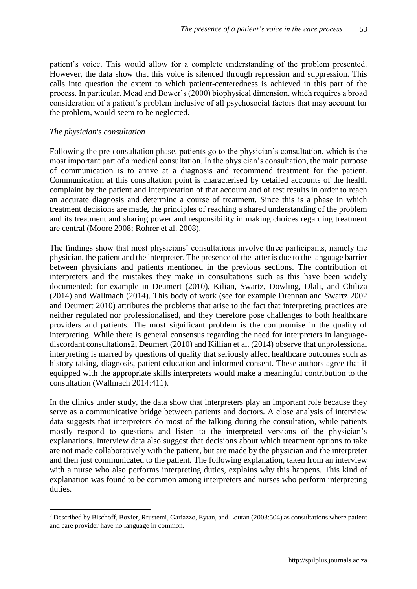patient's voice. This would allow for a complete understanding of the problem presented. However, the data show that this voice is silenced through repression and suppression. This calls into question the extent to which patient-centeredness is achieved in this part of the process. In particular, Mead and Bower's (2000) biophysical dimension, which requires a broad consideration of a patient's problem inclusive of all psychosocial factors that may account for the problem, would seem to be neglected.

#### *The physician's consultation*

 $\overline{a}$ 

Following the pre-consultation phase, patients go to the physician's consultation, which is the most important part of a medical consultation. In the physician's consultation, the main purpose of communication is to arrive at a diagnosis and recommend treatment for the patient. Communication at this consultation point is characterised by detailed accounts of the health complaint by the patient and interpretation of that account and of test results in order to reach an accurate diagnosis and determine a course of treatment. Since this is a phase in which treatment decisions are made, the principles of reaching a shared understanding of the problem and its treatment and sharing power and responsibility in making choices regarding treatment are central (Moore 2008; Rohrer et al. 2008).

The findings show that most physicians' consultations involve three participants, namely the physician, the patient and the interpreter. The presence of the latter is due to the language barrier between physicians and patients mentioned in the previous sections. The contribution of interpreters and the mistakes they make in consultations such as this have been widely documented; for example in Deumert (2010), Kilian, Swartz, Dowling, Dlali, and Chiliza (2014) and Wallmach (2014). This body of work (see for example Drennan and Swartz 2002 and Deumert 2010) attributes the problems that arise to the fact that interpreting practices are neither regulated nor professionalised, and they therefore pose challenges to both healthcare providers and patients. The most significant problem is the compromise in the quality of interpreting. While there is general consensus regarding the need for interpreters in languagediscordant consultations2, Deumert (2010) and Killian et al. (2014) observe that unprofessional interpreting is marred by questions of quality that seriously affect healthcare outcomes such as history-taking, diagnosis, patient education and informed consent. These authors agree that if equipped with the appropriate skills interpreters would make a meaningful contribution to the consultation (Wallmach 2014:411).

In the clinics under study, the data show that interpreters play an important role because they serve as a communicative bridge between patients and doctors. A close analysis of interview data suggests that interpreters do most of the talking during the consultation, while patients mostly respond to questions and listen to the interpreted versions of the physician's explanations. Interview data also suggest that decisions about which treatment options to take are not made collaboratively with the patient, but are made by the physician and the interpreter and then just communicated to the patient. The following explanation, taken from an interview with a nurse who also performs interpreting duties, explains why this happens. This kind of explanation was found to be common among interpreters and nurses who perform interpreting duties.

<sup>2</sup> Described by Bischoff, Bovier, Rrustemi, Gariazzo, Eytan, and Loutan (2003:504) as consultations where patient and care provider have no language in common.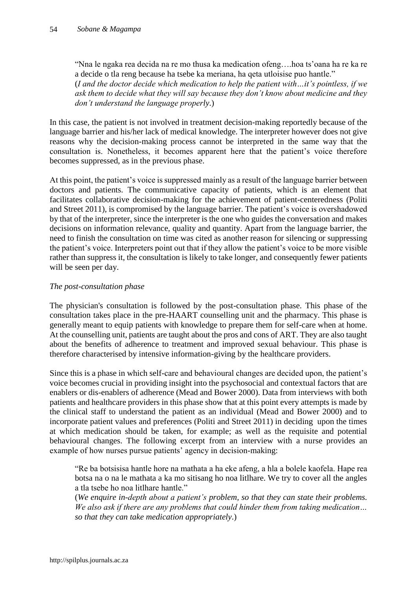"Nna le ngaka rea decida na re mo thusa ka medication ofeng….hoa ts'oana ha re ka re a decide o tla reng because ha tsebe ka meriana, ha qeta utloisise puo hantle." (*I and the doctor decide which medication to help the patient with…it's pointless, if we ask them to decide what they will say because they don't know about medicine and they don't understand the language properly*.)

In this case, the patient is not involved in treatment decision-making reportedly because of the language barrier and his/her lack of medical knowledge. The interpreter however does not give reasons why the decision-making process cannot be interpreted in the same way that the consultation is. Nonetheless, it becomes apparent here that the patient's voice therefore becomes suppressed, as in the previous phase.

At this point, the patient's voice is suppressed mainly as a result of the language barrier between doctors and patients. The communicative capacity of patients, which is an element that facilitates collaborative decision-making for the achievement of patient-centeredness (Politi and Street 2011), is compromised by the language barrier. The patient's voice is overshadowed by that of the interpreter, since the interpreter is the one who guides the conversation and makes decisions on information relevance, quality and quantity. Apart from the language barrier, the need to finish the consultation on time was cited as another reason for silencing or suppressing the patient's voice. Interpreters point out that if they allow the patient's voice to be more visible rather than suppress it, the consultation is likely to take longer, and consequently fewer patients will be seen per day.

# *The post-consultation phase*

The physician's consultation is followed by the post-consultation phase. This phase of the consultation takes place in the pre-HAART counselling unit and the pharmacy. This phase is generally meant to equip patients with knowledge to prepare them for self-care when at home. At the counselling unit, patients are taught about the pros and cons of ART. They are also taught about the benefits of adherence to treatment and improved sexual behaviour. This phase is therefore characterised by intensive information-giving by the healthcare providers.

Since this is a phase in which self-care and behavioural changes are decided upon, the patient's voice becomes crucial in providing insight into the psychosocial and contextual factors that are enablers or dis-enablers of adherence (Mead and Bower 2000). Data from interviews with both patients and healthcare providers in this phase show that at this point every attempts is made by the clinical staff to understand the patient as an individual (Mead and Bower 2000) and to incorporate patient values and preferences (Politi and Street 2011) in deciding upon the times at which medication should be taken, for example; as well as the requisite and potential behavioural changes. The following excerpt from an interview with a nurse provides an example of how nurses pursue patients' agency in decision-making:

"Re ba botsisisa hantle hore na mathata a ha eke afeng, a hla a bolele kaofela. Hape rea botsa na o na le mathata a ka mo sitisang ho noa litlhare. We try to cover all the angles a tla tsebe ho noa litlhare hantle."

(*We enquire in-depth about a patient's problem, so that they can state their problems. We also ask if there are any problems that could hinder them from taking medication… so that they can take medication appropriately*.)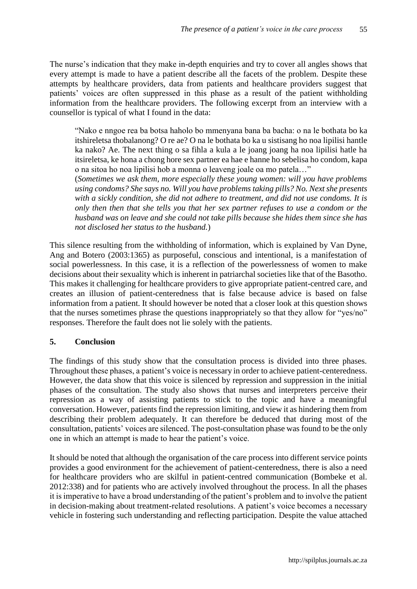The nurse's indication that they make in-depth enquiries and try to cover all angles shows that every attempt is made to have a patient describe all the facets of the problem. Despite these attempts by healthcare providers, data from patients and healthcare providers suggest that patients' voices are often suppressed in this phase as a result of the patient withholding information from the healthcare providers. The following excerpt from an interview with a counsellor is typical of what I found in the data:

"Nako e nngoe rea ba botsa haholo bo mmenyana bana ba bacha: o na le bothata bo ka itshireletsa thobalanong? O re ae? O na le bothata bo ka u sistisang ho noa lipilisi hantle ka nako? Ae. The next thing o sa fihla a kula a le joang joang ha noa lipilisi hatle ha itsireletsa, ke hona a chong hore sex partner ea hae e hanne ho sebelisa ho condom, kapa o na sitoa ho noa lipilisi hob a monna o leaveng joale oa mo patela…"

(*Sometimes we ask them, more especially these young women: will you have problems using condoms? She says no. Will you have problems taking pills? No. Next she presents with a sickly condition, she did not adhere to treatment, and did not use condoms. It is only then then that she tells you that her sex partner refuses to use a condom or the husband was on leave and she could not take pills because she hides them since she has not disclosed her status to the husband.*)

This silence resulting from the withholding of information, which is explained by Van Dyne, Ang and Botero (2003:1365) as purposeful, conscious and intentional, is a manifestation of social powerlessness. In this case, it is a reflection of the powerlessness of women to make decisions about their sexuality which is inherent in patriarchal societies like that of the Basotho. This makes it challenging for healthcare providers to give appropriate patient-centred care, and creates an illusion of patient-centeredness that is false because advice is based on false information from a patient. It should however be noted that a closer look at this question shows that the nurses sometimes phrase the questions inappropriately so that they allow for "yes/no" responses. Therefore the fault does not lie solely with the patients.

#### **5. Conclusion**

The findings of this study show that the consultation process is divided into three phases. Throughout these phases, a patient's voice is necessary in order to achieve patient-centeredness. However, the data show that this voice is silenced by repression and suppression in the initial phases of the consultation. The study also shows that nurses and interpreters perceive their repression as a way of assisting patients to stick to the topic and have a meaningful conversation. However, patients find the repression limiting, and view it as hindering them from describing their problem adequately. It can therefore be deduced that during most of the consultation, patients' voices are silenced. The post-consultation phase was found to be the only one in which an attempt is made to hear the patient's voice.

It should be noted that although the organisation of the care process into different service points provides a good environment for the achievement of patient-centeredness, there is also a need for healthcare providers who are skilful in patient-centred communication (Bombeke et al. 2012:338) and for patients who are actively involved throughout the process. In all the phases it is imperative to have a broad understanding of the patient's problem and to involve the patient in decision-making about treatment-related resolutions. A patient's voice becomes a necessary vehicle in fostering such understanding and reflecting participation. Despite the value attached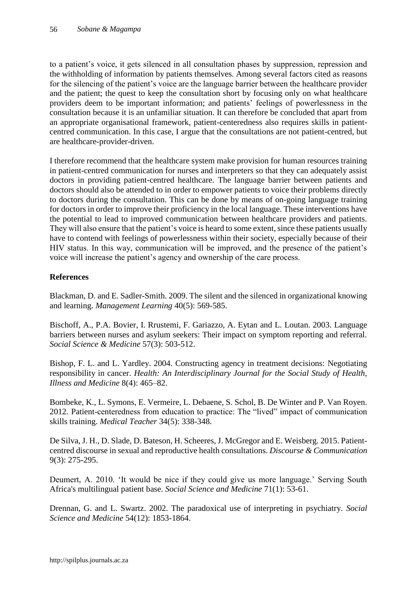to a patient's voice, it gets silenced in all consultation phases by suppression, repression and the withholding of information by patients themselves. Among several factors cited as reasons for the silencing of the patient's voice are the language barrier between the healthcare provider and the patient; the quest to keep the consultation short by focusing only on what healthcare providers deem to be important information; and patients' feelings of powerlessness in the consultation because it is an unfamiliar situation. It can therefore be concluded that apart from an appropriate organisational framework, patient-centeredness also requires skills in patientcentred communication. In this case, I argue that the consultations are not patient-centred, but are healthcare-provider-driven.

I therefore recommend that the healthcare system make provision for human resources training in patient-centred communication for nurses and interpreters so that they can adequately assist doctors in providing patient-centred healthcare. The language barrier between patients and doctors should also be attended to in order to empower patients to voice their problems directly to doctors during the consultation. This can be done by means of on-going language training for doctors in order to improve their proficiency in the local language. These interventions have the potential to lead to improved communication between healthcare providers and patients. They will also ensure that the patient's voice is heard to some extent, since these patients usually have to contend with feelings of powerlessness within their society, especially because of their HIV status. In this way, communication will be improved, and the presence of the patient's voice will increase the patient's agency and ownership of the care process.

# **References**

Blackman, D. and E. Sadler-Smith. 2009. The silent and the silenced in organizational knowing and learning. *Management Learning* 40(5): 569-585.

Bischoff, A., P.A. Bovier, I. Rrustemi, F. Gariazzo, A. Eytan and L. Loutan. 2003. Language barriers between nurses and asylum seekers: Their impact on symptom reporting and referral. *Social Science & Medicine* 57(3): 503-512.

Bishop, F. L. and L. Yardley. 2004. Constructing agency in treatment decisions: Negotiating responsibility in cancer. *Health: An Interdisciplinary Journal for the Social Study of Health, Illness and Medicine* 8(4): 465–82.

Bombeke, K., L. Symons, E. Vermeire, L. Debaene, S. Schol, B. De Winter and P. Van Royen. 2012. Patient-centeredness from education to practice: The "lived" impact of communication skills training. *Medical Teacher* 34(5): 338-348.

De Silva, J. H., D. Slade, D. Bateson, H. Scheeres, J. McGregor and E. Weisberg. 2015. Patientcentred discourse in sexual and reproductive health consultations. *Discourse & Communication* 9(3): 275-295.

Deumert, A. 2010. 'It would be nice if they could give us more language.' Serving South Africa's multilingual patient base. *Social Science and Medicine* 71(1): 53-61.

Drennan, G. and L. Swartz. 2002. The paradoxical use of interpreting in psychiatry. *Social Science and Medicine* 54(12): 1853-1864.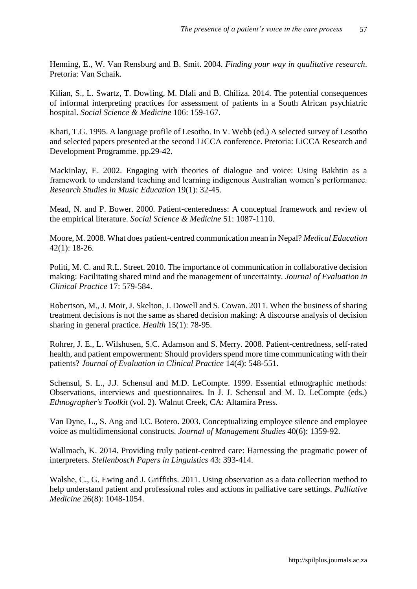Henning, E., W. Van Rensburg and B. Smit. 2004. *Finding your way in qualitative research*. Pretoria: Van Schaik.

Kilian, S., L. Swartz, T. Dowling, M. Dlali and B. Chiliza. 2014. The potential consequences of informal interpreting practices for assessment of patients in a South African psychiatric hospital. *Social Science & Medicine* 106: 159-167.

Khati, T.G. 1995. A language profile of Lesotho. In V. Webb (ed.) A selected survey of Lesotho and selected papers presented at the second LiCCA conference. Pretoria: LiCCA Research and Development Programme. pp.29-42.

Mackinlay, E. 2002. Engaging with theories of dialogue and voice: Using Bakhtin as a framework to understand teaching and learning indigenous Australian women's performance. *Research Studies in Music Education* 19(1): 32-45.

Mead, N. and P. Bower. 2000. Patient-centeredness: A conceptual framework and review of the empirical literature. *Social Science & Medicine* 51: 1087-1110.

Moore, M. 2008. What does patient-centred communication mean in Nepal? *Medical Education*  42(1): 18-26.

Politi, M. C. and R.L. Street. 2010. The importance of communication in collaborative decision making: Facilitating shared mind and the management of uncertainty. *Journal of Evaluation in Clinical Practice* 17: 579-584.

Robertson, M., J. Moir, J. Skelton, J. Dowell and S. Cowan. 2011. When the business of sharing treatment decisions is not the same as shared decision making: A discourse analysis of decision sharing in general practice. *Health* 15(1): 78-95.

Rohrer, J. E., L. Wilshusen, S.C. Adamson and S. Merry. 2008. Patient-centredness, self-rated health, and patient empowerment: Should providers spend more time communicating with their patients? *Journal of Evaluation in Clinical Practice* 14(4): 548-551.

Schensul, S. L., J.J. Schensul and M.D. LeCompte. 1999. Essential ethnographic methods: Observations, interviews and questionnaires. In J. J. Schensul and M. D. LeCompte (eds.) *Ethnographer's Toolkit* (vol. 2). Walnut Creek, CA: Altamira Press.

Van Dyne, L., S. Ang and I.C. Botero. 2003. Conceptualizing employee silence and employee voice as multidimensional constructs. *Journal of Management Studies* 40(6): 1359-92.

Wallmach, K. 2014. Providing truly patient-centred care: Harnessing the pragmatic power of interpreters. *Stellenbosch Papers in Linguistics* 43: 393-414.

Walshe, C., G. Ewing and J. Griffiths. 2011. Using observation as a data collection method to help understand patient and professional roles and actions in palliative care settings. *Palliative Medicine* 26(8): 1048-1054.